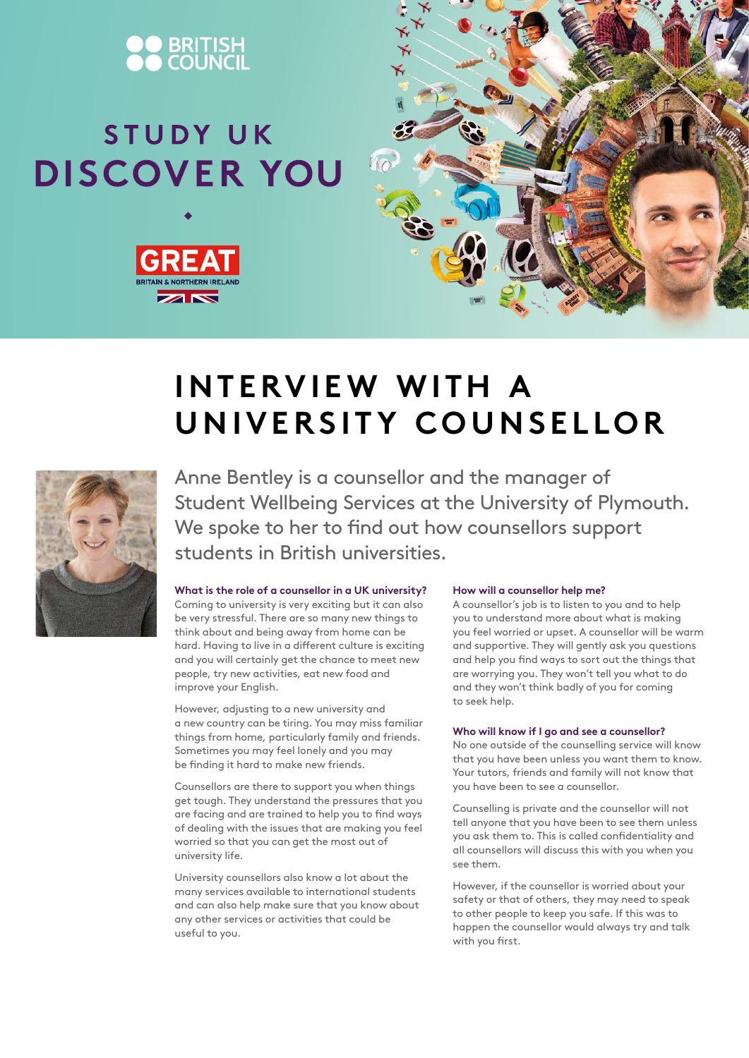

# STUDY UK **DISCOVER YOU**





## **INTERVIEW WITH A UNIVERSITY COUNSELLOR**



Anne Bentley is a counsellor and the manager of Student Wellbeing Services at the University of Plymouth. We spoke to her to find out how counsellors support students in British universities.

### **What is the role of a counsellor in a UK university?**

Coming to university is very exciting but it can also be very stressful. There are so many new things to think about and being away from home can be hard. Having to live in a different culture is exciting and you will certainly get the chance to meet new people, try new activities, eat new food and improve your English.

However, adjusting to a new university and a new country can be tiring. You may miss familiar things from home, particularly family and friends. Sometimes you may feel lonely and you may be finding it hard to make new friends.

Counsellors are there to support you when things get tough. They understand the pressures that you are facing and are trained to help you to find ways of dealing with the issues that are making you feel worried so that you can get the most out of university life.

University counsellors also know a lot about the many services available to international students and can also help make sure that you know about any other services or activities that could be useful to you.

#### **How will a counsellor help me?**

A counsellor's job is to listen to you and to help you to understand more about what is making you feel worried or upset. A counsellor will be warm and supportive. They will gently ask you questions and help you find ways to sort out the things that are worrying you. They won't tell you what to do and they won't think badly of you for coming to seek help.

### **Who will know if I go and see a counsellor?**

No one outside of the counselling service will know that you have been unless you want them to know. Your tutors, friends and family will not know that you have been to see a counsellor.

Counselling is private and the counsellor will not tell anyone that you have been to see them unless you ask them to. This is called confidentiality and all counsellors will discuss this with you when you see them.

However, if the counsellor is worried about your safety or that of others, they may need to speak to other people to keep you safe. If this was to happen the counsellor would always try and talk with you first.